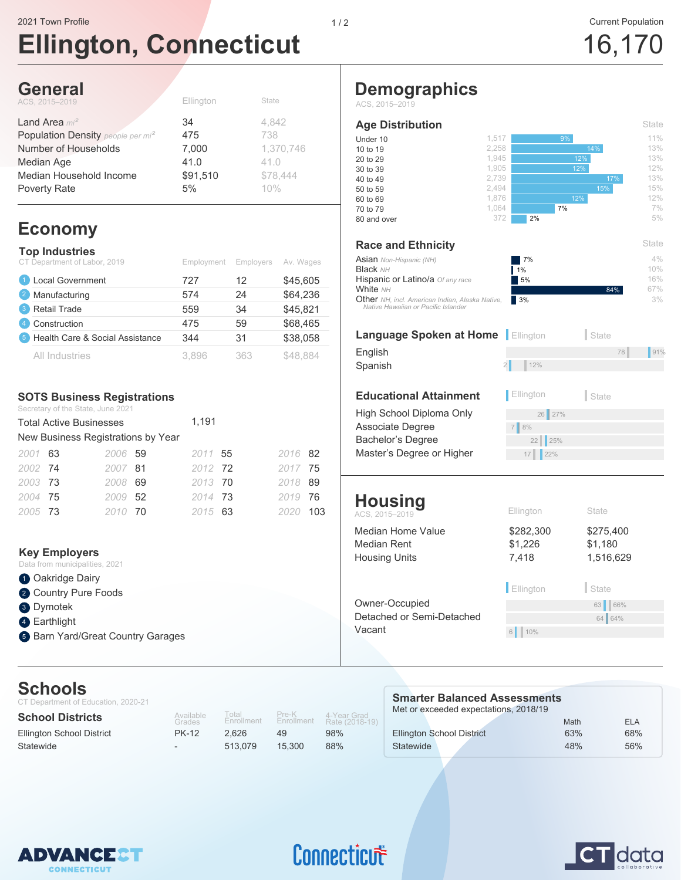# **Ellington, Connecticut**

1,517 2,258 1,945 1,905 2,739 2,494 1,876 1,064 372

> $17$  | 22% 25%

\$282,300 \$1,226 7,418

7 8%

6 10%

Ellington State

Owner-Occupied 63 66%

2 12<sup>%</sup> English 78 and 78 and 78 and 78 and 78 and 78 and 78 and 78 and 78 and 78 and 78 and 78 and 78 and 78 and 78 and 78 and 78 and 78 and 78 and 78 and 78 and 78 and 78 and 78 and 78 and 78 and 78 and 78 and 78 and 78 and 78 a

5% 1% 7%

 $2%$ 

7% 12%

12% 14%

High School Diploma Only 26 27%

**Educational Attainment Ellington** State

ACS, 2015–2019 **Ellington** State

**Language Spoken at Home** Ellington State

Associate Degree Bachelor's Degree

Median Home Value

Median Rent Housing Units

**Housing**

**Race and Ethnicity**

Hispanic or Latino/a Of any race

Asian Non-Hispanic (NH)

*NH, incl. American Indian, Alaska Native,* Other *Native Hawaiian or Pacific Islander*

Spanish

**Black** NH

**Age Distribution**

**Demographics**

ACS, 2015–2019

**White** NH

Master's Degree or Higher

Detached or Semi-Detached

Vacant

## 16,170

 $4%$ 10% 16% 67%

State

**State** 

11% 13% 13% 12% 13% 15% 12% 7% 5%

3% 3%

84%

17%

### **General**

| Ellington | State     |
|-----------|-----------|
| 34        | 4.842     |
| 475       | 738       |
| 7,000     | 1,370,746 |
| 41.0      | 41.0      |
| \$91,510  | \$78,444  |
| 5%        | 10%       |
|           |           |

## **Economy**

| <b>Top Industries</b><br>CT Department of Labor, 2019 | Employment | <b>Employers</b> | Av. Wages |
|-------------------------------------------------------|------------|------------------|-----------|
| <b>Local Government</b>                               | 727        | 12               | \$45,605  |
| Manufacturing<br>$\vert 2 \rangle$                    | 574        | 24               | \$64,236  |
| Retail Trade<br>3                                     | 559        | 34               | \$45,821  |
| Construction<br>$\overline{4}$                        | 475        | 59               | \$68,465  |
| Health Care & Social Assistance<br>$\sqrt{5}$         | 344        | 31               | \$38,058  |
| All Industries                                        | 3,896      | 363              | \$48.884  |

### **SOTS Business Registrations**

Secretary of the State, June 2021

|         | <b>Total Active Businesses</b>     | 1,191   |         |     |
|---------|------------------------------------|---------|---------|-----|
|         | New Business Registrations by Year |         |         |     |
| 2001 63 | 2006 59                            | 2011 55 | 2016 82 |     |
| 2002 74 | 2007 81                            | 2012 72 | 2017 75 |     |
| 2003 73 | 2008 69                            | 2013 70 | 2018 89 |     |
| 2004 75 | 2009 52                            | 2014 73 | 2019 76 |     |
| 2005 73 | 2010 70                            | 2015 63 | 2020    | 103 |

#### **Key Employers**

- Data from municipalities, 2021
- **1** Oakridge Dairy
- 2 Country Pure Foods
- Dymotek 3
- 4 Earthlight
- **Barn Yard/Great Country Garages**

## **Schools**

| <b>UULIUUIJ</b><br>CT Department of Education, 2020-21 |                          |                     |                     | <b>Smarter Balanced Assessments</b> |                                       |      |     |
|--------------------------------------------------------|--------------------------|---------------------|---------------------|-------------------------------------|---------------------------------------|------|-----|
| <b>School Districts</b>                                | Available<br>Grades      | Total<br>Enrollment | Pre-K<br>Enrollment | 4-Year Grad<br>Rate (2018-19)       | Met or exceeded expectations, 2018/19 | Math | ELA |
| Ellington School District                              | <b>PK-12</b>             | 2.626               | 49                  | 98%                                 | <b>Ellington School District</b>      | 63%  | 68% |
| Statewide                                              | $\overline{\phantom{0}}$ | 513.079             | 15.300              | 88%                                 | Statewide                             | 48%  | 56% |



## Connecticut



64 64%

\$275,400 \$1,180 1,516,629